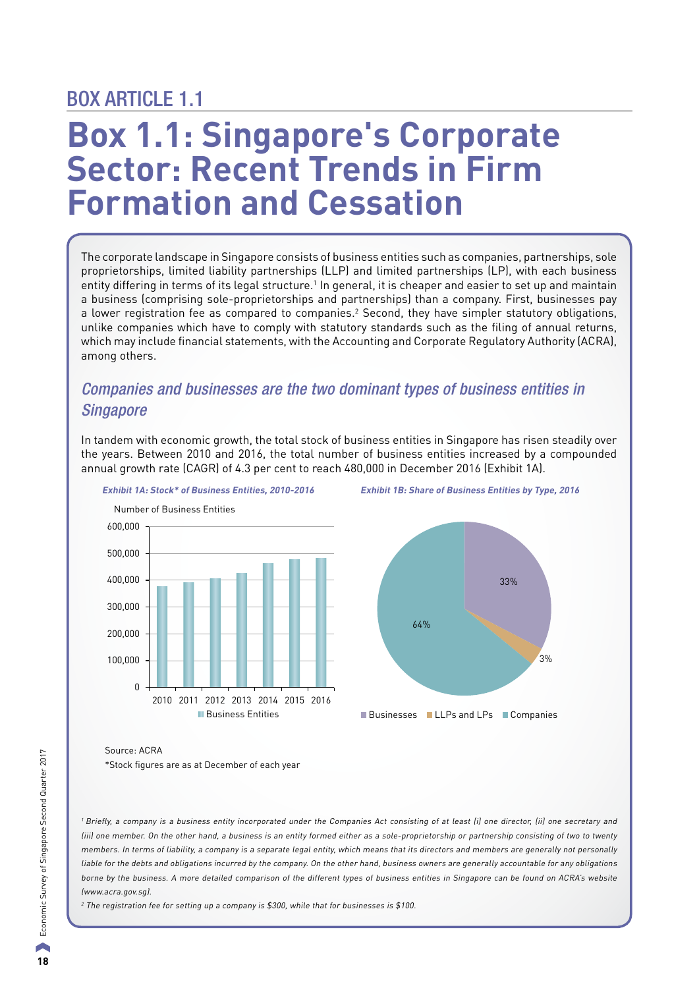## BOX ARTICLE 1.1

# **Box 1.1: Singapore's Corporate Sector: Recent Trends in Firm Formation and Cessation**

 The corporate landscape in Singapore consists of business entities such as companies, partnerships, sole proprietorships, limited liability partnerships (LLP) and limited partnerships (LP), with each business entity differing in terms of its legal structure.<sup>1</sup> In general, it is cheaper and easier to set up and maintain a business (comprising sole-proprietorships and partnerships) than a company. First, businesses pay a lower registration fee as compared to companies.<sup>2</sup> Second, they have simpler statutory obligations, unlike companies which have to comply with statutory standards such as the filing of annual returns, which may include financial statements, with the Accounting and Corporate Regulatory Authority (ACRA), among others.

## *Companies and businesses are the two dominant types of business entities in Singapore*

In tandem with economic growth, the total stock of business entities in Singapore has risen steadily over the years. Between 2010 and 2016, the total number of business entities increased by a compounded annual growth rate (CAGR) of 4.3 per cent to reach 480,000 in December 2016 (Exhibit 1A).







Source: ACRA \*Stock figures are as at December of each year

<sup>1</sup> Briefly, a company is a business entity incorporated under the Companies Act consisting of at least (i) one director, (ii) one secretary and (iii) one member. On the other hand, a business is an entity formed either as a sole-proprietorship or partnership consisting of two to twenty members. In terms of liability, a company is a separate legal entity, which means that its directors and members are generally not personally liable for the debts and obligations incurred by the company. On the other hand, business owners are generally accountable for any obligations borne by the business. A more detailed comparison of the different types of business entities in Singapore can be found on ACRA's website (www.acra.gov.sg).

<sup>2</sup> The registration fee for setting up a company is \$300, while that for businesses is \$100.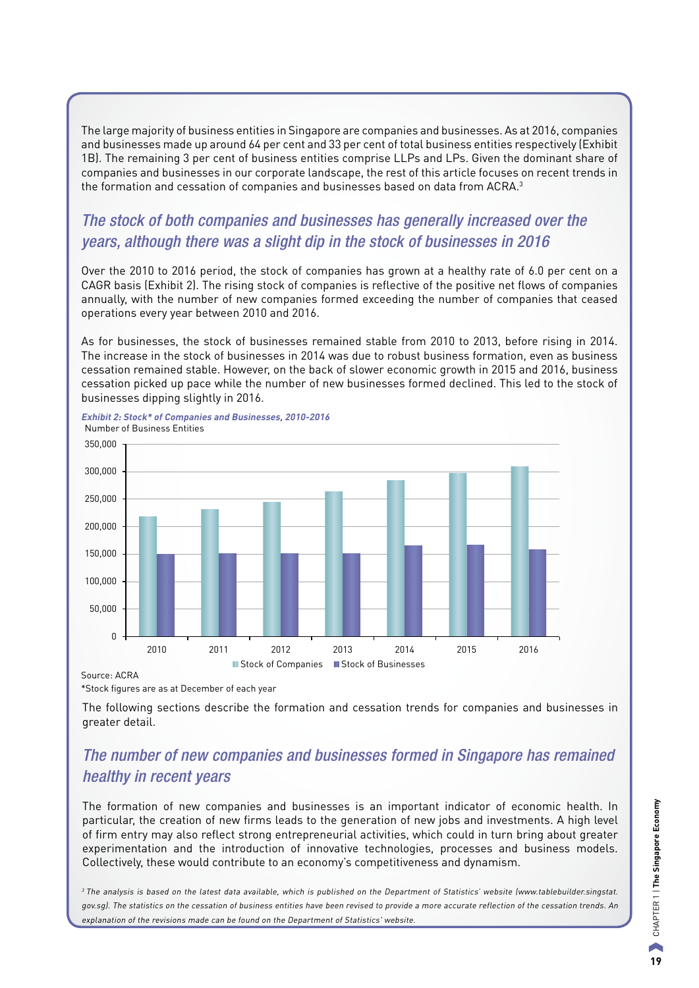The large majority of business entities in Singapore are companies and businesses. As at 2016, companies and businesses made up around 64 per cent and 33 per cent of total business entities respectively (Exhibit 1B). The remaining 3 per cent of business entities comprise LLPs and LPs. Given the dominant share of companies and businesses in our corporate landscape, the rest of this article focuses on recent trends in the formation and cessation of companies and businesses based on data from ACRA. $^3$ 

## *The stock of both companies and businesses has generally increased over the years, although there was a slight dip in the stock of businesses in 2016*

Over the 2010 to 2016 period, the stock of companies has grown at a healthy rate of 6.0 per cent on a CAGR basis (Exhibit 2). The rising stock of companies is reflective of the positive net flows of companies annually, with the number of new companies formed exceeding the number of companies that ceased operations every year between 2010 and 2016.

As for businesses, the stock of businesses remained stable from 2010 to 2013, before rising in 2014. The increase in the stock of businesses in 2014 was due to robust business formation, even as business cessation remained stable. However, on the back of slower economic growth in 2015 and 2016, business cessation picked up pace while the number of new businesses formed declined. This led to the stock of businesses dipping slightly in 2016.



**Exhibit 2: Stock\* of Companies and Businesses, 2010-2016**

Source: ACRA

\*Stock figures are as at December of each year

The following sections describe the formation and cessation trends for companies and businesses in greater detail.

## *The number of new companies and businesses formed in Singapore has remained healthy in recent years*

The formation of new companies and businesses is an important indicator of economic health. In particular, the creation of new firms leads to the generation of new jobs and investments. A high level of firm entry may also reflect strong entrepreneurial activities, which could in turn bring about greater experimentation and the introduction of innovative technologies, processes and business models. Collectively, these would contribute to an economy's competitiveness and dynamism.

<sup>3</sup>The analysis is based on the latest data available, which is published on the Department of Statistics' website (www.tablebuilder.singstat. gov.sg). The statistics on the cessation of business entities have been revised to provide a more accurate reflection of the cessation trends. An explanation of the revisions made can be found on the Department of Statistics' website.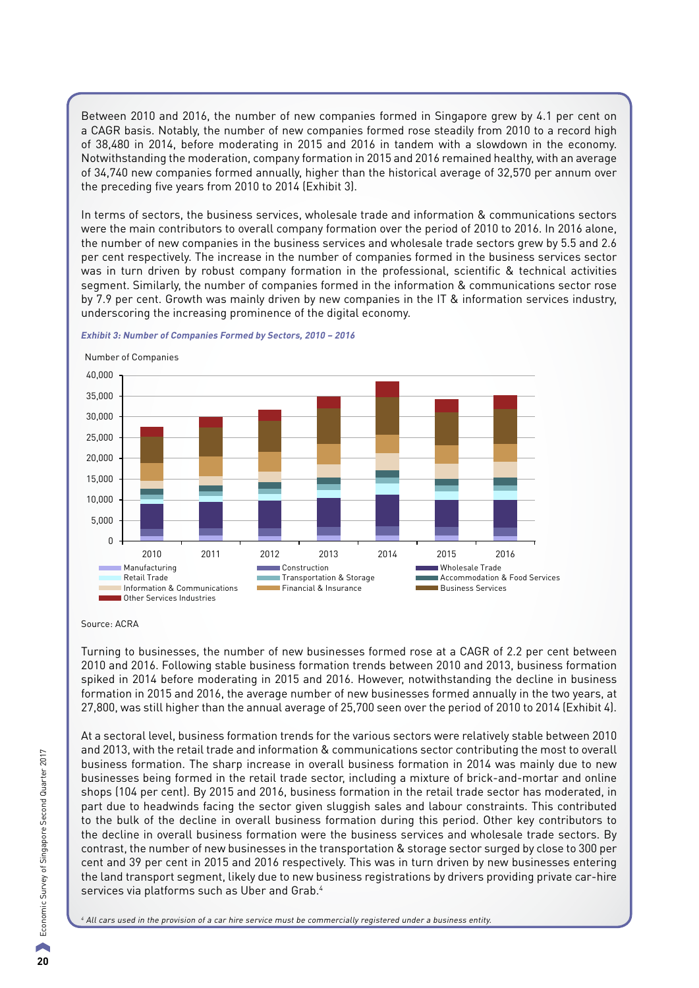Between 2010 and 2016, the number of new companies formed in Singapore grew by 4.1 per cent on a CAGR basis. Notably, the number of new companies formed rose steadily from 2010 to a record high of 38,480 in 2014, before moderating in 2015 and 2016 in tandem with a slowdown in the economy. Notwithstanding the moderation, company formation in 2015 and 2016 remained healthy, with an average of 34,740 new companies formed annually, higher than the historical average of 32,570 per annum over the preceding five years from 2010 to 2014 (Exhibit 3).

In terms of sectors, the business services, wholesale trade and information & communications sectors were the main contributors to overall company formation over the period of 2010 to 2016. In 2016 alone, the number of new companies in the business services and wholesale trade sectors grew by 5.5 and 2.6 per cent respectively. The increase in the number of companies formed in the business services sector was in turn driven by robust company formation in the professional, scientific & technical activities segment. Similarly, the number of companies formed in the information & communications sector rose by 7.9 per cent. Growth was mainly driven by new companies in the IT & information services industry, underscoring the increasing prominence of the digital economy.

#### **Exhibit 3: Number of Companies Formed by Sectors, 2010 – 2016**

 $\Omega$ 5,000 10,000 15,000 20,000 25,000 30,000 35,000 40,000 2010 2011 2012 2013 2014 2015 2016 Manufacturing **Construction Construction**<br>Retail Trade Construction & Storage **Construction & Commodation & Food Services** Retail Trade Transportation & Storage<br>Information & Communications Transportation & Insurance **Information Entity Communication Entity Financial & Insurance Business Services** Other Services Industries Number of Companies

Turning to businesses, the number of new businesses formed rose at a CAGR of 2.2 per cent between 2010 and 2016. Following stable business formation trends between 2010 and 2013, business formation spiked in 2014 before moderating in 2015 and 2016. However, notwithstanding the decline in business formation in 2015 and 2016, the average number of new businesses formed annually in the two years, at 27,800, was still higher than the annual average of 25,700 seen over the period of 2010 to 2014 (Exhibit 4).

At a sectoral level, business formation trends for the various sectors were relatively stable between 2010 and 2013, with the retail trade and information & communications sector contributing the most to overall business formation. The sharp increase in overall business formation in 2014 was mainly due to new businesses being formed in the retail trade sector, including a mixture of brick-and-mortar and online shops (104 per cent). By 2015 and 2016, business formation in the retail trade sector has moderated, in part due to headwinds facing the sector given sluggish sales and labour constraints. This contributed to the bulk of the decline in overall business formation during this period. Other key contributors to the decline in overall business formation were the business services and wholesale trade sectors. By contrast, the number of new businesses in the transportation & storage sector surged by close to 300 per cent and 39 per cent in 2015 and 2016 respectively. This was in turn driven by new businesses entering the land transport segment, likely due to new business registrations by drivers providing private car-hire services via platforms such as Uber and Grab.<sup>4</sup>

<sup>4</sup> All cars used in the provision of a car hire service must be commercially registered under a business entity.

Source: ACRA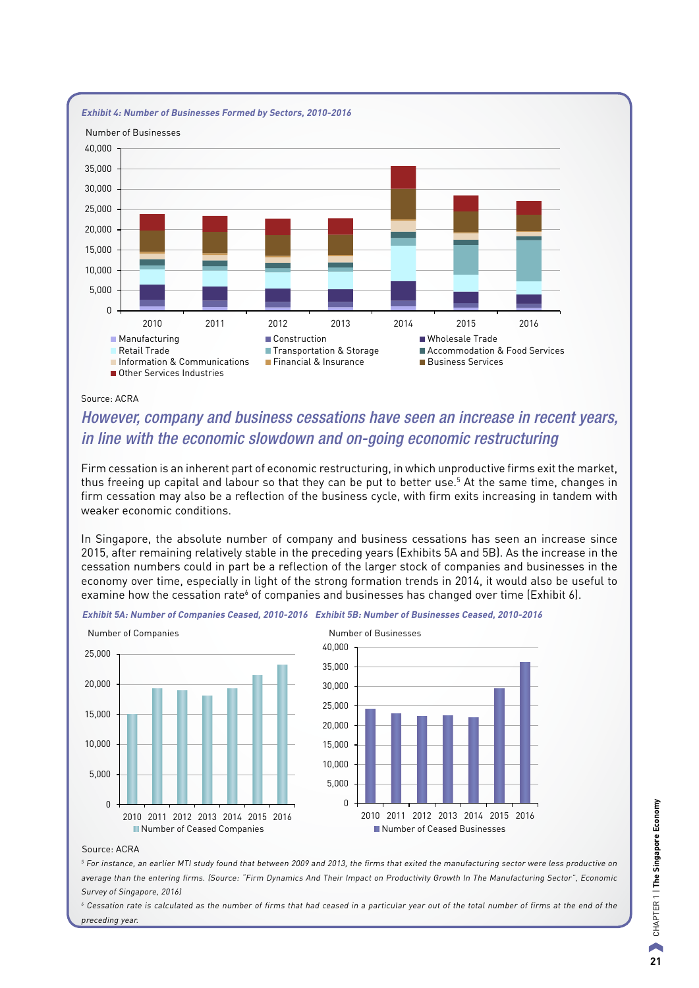

#### Source: ACRA

## *However, company and business cessations have seen an increase in recent years, in line with the economic slowdown and on-going economic restructuring*

Firm cessation is an inherent part of economic restructuring, in which unproductive firms exit the market, thus freeing up capital and labour so that they can be put to better use.<sup>5</sup> At the same time, changes in firm cessation may also be a reflection of the business cycle, with firm exits increasing in tandem with weaker economic conditions.

In Singapore, the absolute number of company and business cessations has seen an increase since 2015, after remaining relatively stable in the preceding years (Exhibits 5A and 5B). As the increase in the cessation numbers could in part be a reflection of the larger stock of companies and businesses in the economy over time, especially in light of the strong formation trends in 2014, it would also be useful to examine how the cessation rate<sup>6</sup> of companies and businesses has changed over time (Exhibit 6).

**Exhibit 5A: Number of Companies Ceased, 2010-2016 Exhibit 5B: Number of Businesses Ceased, 2010-2016**



#### Source: ACRA

<sup>5</sup> For instance, an earlier MTI study found that between 2009 and 2013, the firms that exited the manufacturing sector were less productive on average than the entering firms. (Source: "Firm Dynamics And Their Impact on Productivity Growth In The Manufacturing Sector", Economic Survey of Singapore, 2016)

<sup>6</sup> Cessation rate is calculated as the number of firms that had ceased in a particular year out of the total number of firms at the end of the preceding year.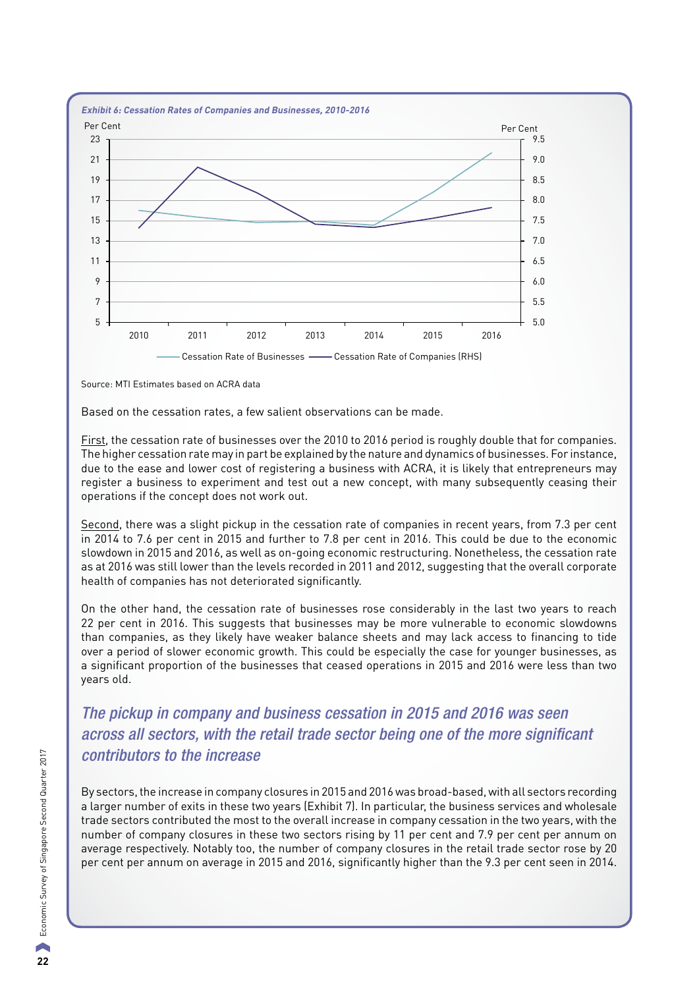

Source: MTI Estimates based on ACRA data

Based on the cessation rates, a few salient observations can be made.

First, the cessation rate of businesses over the 2010 to 2016 period is roughly double that for companies. The higher cessation rate may in part be explained by the nature and dynamics of businesses. For instance, due to the ease and lower cost of registering a business with ACRA, it is likely that entrepreneurs may register a business to experiment and test out a new concept, with many subsequently ceasing their operations if the concept does not work out.

Second, there was a slight pickup in the cessation rate of companies in recent years, from 7.3 per cent in 2014 to 7.6 per cent in 2015 and further to 7.8 per cent in 2016. This could be due to the economic slowdown in 2015 and 2016, as well as on-going economic restructuring. Nonetheless, the cessation rate as at 2016 was still lower than the levels recorded in 2011 and 2012, suggesting that the overall corporate health of companies has not deteriorated significantly.

On the other hand, the cessation rate of businesses rose considerably in the last two years to reach 22 per cent in 2016. This suggests that businesses may be more vulnerable to economic slowdowns than companies, as they likely have weaker balance sheets and may lack access to financing to tide over a period of slower economic growth. This could be especially the case for younger businesses, as a significant proportion of the businesses that ceased operations in 2015 and 2016 were less than two years old.

*The pickup in company and business cessation in 2015 and 2016 was seen across all sectors, with the retail trade sector being one of the more significant contributors to the increase*

By sectors, the increase in company closures in 2015 and 2016 was broad-based, with all sectors recording a larger number of exits in these two years (Exhibit 7). In particular, the business services and wholesale trade sectors contributed the most to the overall increase in company cessation in the two years, with the number of company closures in these two sectors rising by 11 per cent and 7.9 per cent per annum on average respectively. Notably too, the number of company closures in the retail trade sector rose by 20 per cent per annum on average in 2015 and 2016, significantly higher than the 9.3 per cent seen in 2014.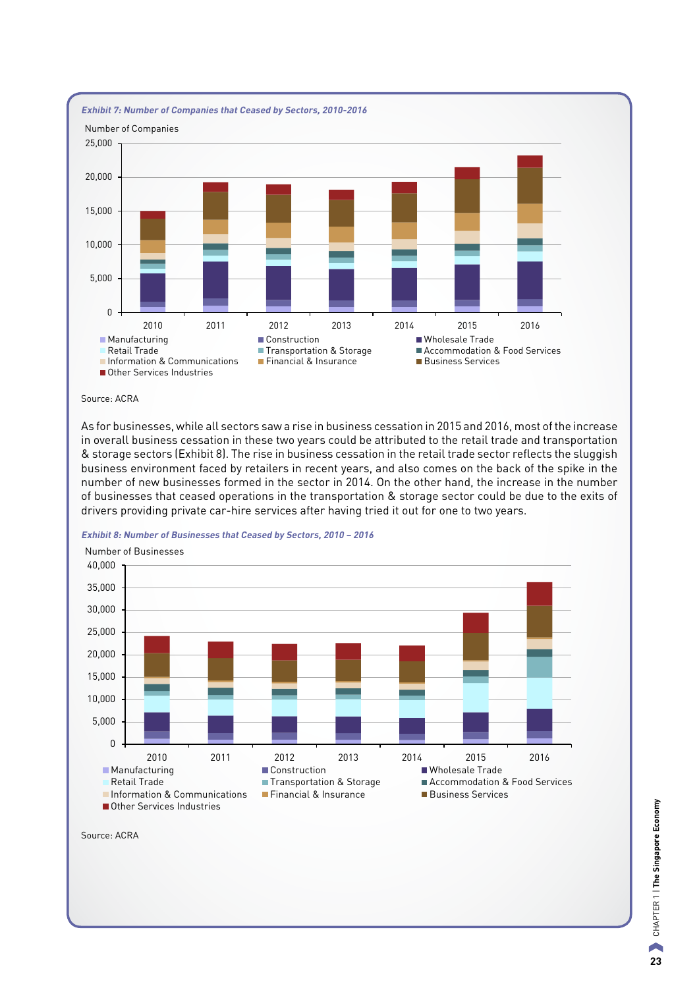

Source: ACRA

As for businesses, while all sectors saw a rise in business cessation in 2015 and 2016, most of the increase in overall business cessation in these two years could be attributed to the retail trade and transportation & storage sectors (Exhibit 8). The rise in business cessation in the retail trade sector reflects the sluggish business environment faced by retailers in recent years, and also comes on the back of the spike in the number of new businesses formed in the sector in 2014. On the other hand, the increase in the number of businesses that ceased operations in the transportation & storage sector could be due to the exits of drivers providing private car-hire services after having tried it out for one to two years.

#### **Exhibit 8: Number of Businesses that Ceased by Sectors, 2010 – 2016**



Source: ACRA

**23**CHAPTER 1 | **The Singapore Economy** CHAPTER 1 | The Singapore Economy  $\blacktriangle$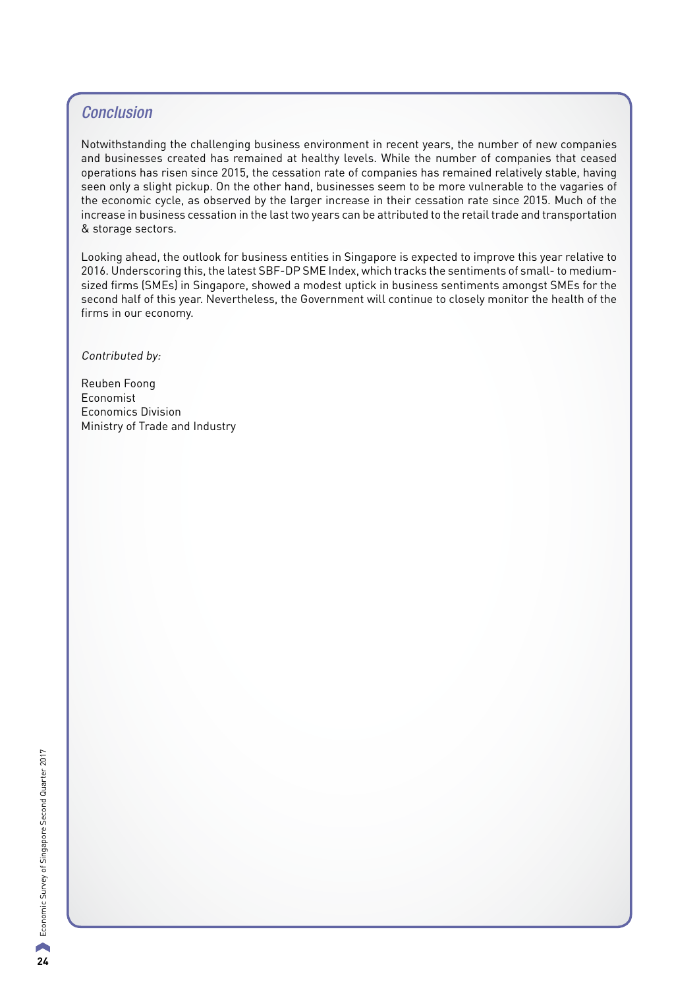### *Conclusion*

Notwithstanding the challenging business environment in recent years, the number of new companies and businesses created has remained at healthy levels. While the number of companies that ceased operations has risen since 2015, the cessation rate of companies has remained relatively stable, having seen only a slight pickup. On the other hand, businesses seem to be more vulnerable to the vagaries of the economic cycle, as observed by the larger increase in their cessation rate since 2015. Much of the increase in business cessation in the last two years can be attributed to the retail trade and transportation & storage sectors.

Looking ahead, the outlook for business entities in Singapore is expected to improve this year relative to 2016. Underscoring this, the latest SBF-DP SME Index, which tracks the sentiments of small- to mediumsized firms (SMEs) in Singapore, showed a modest uptick in business sentiments amongst SMEs for the second half of this year. Nevertheless, the Government will continue to closely monitor the health of the firms in our economy.

Contributed by:

Reuben Foong Economist Economics Division Ministry of Trade and Industry